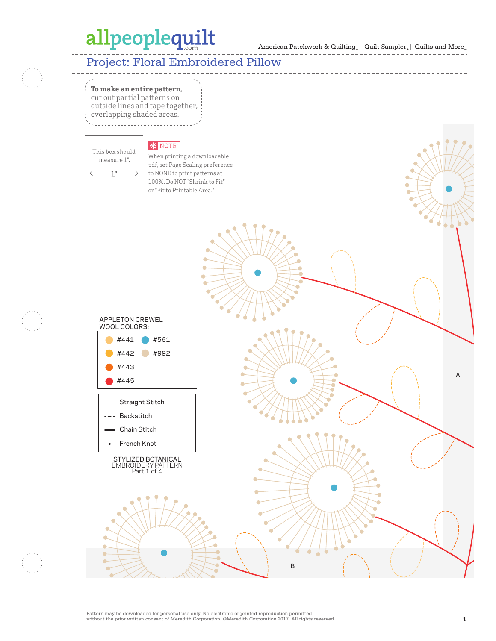American Patchwork & Quilting | Quilt Sampler | Quilts and More **Yourself**

#### Project: Floral Embroidered Pillow



**To make an entire pattern,**  cut out partial patterns on

outside lines and tape together, overlapping shaded areas.

### **\*** NOTE:

This box should measure 1".  $1"$ 

 $\hat{\phantom{a}}$ 

When printing a downloadable pdf, set Page Scaling preference to NONE to print patterns at 100%. Do NOT "Shrink to Fit" or "Fit to Printable Area."





Between  $\mathbf{B}$  and  $\mathbf{C}$  and  $\mathbf{C}$  and  $\mathbf{C}$  and  $\mathbf{C}$  and  $\mathbf{C}$  and  $\mathbf{C}$  and  $\mathbf{C}$  and  $\mathbf{C}$  and  $\mathbf{C}$  and  $\mathbf{C}$  and  $\mathbf{C}$  and  $\mathbf{C}$  and  $\mathbf{C}$  and  $\mathbf{C}$  and  $\mathbf{C}$  and  $\mathbf{$ 

A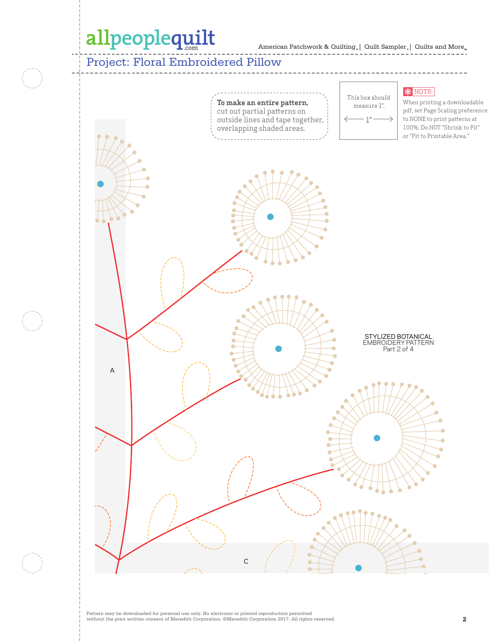American Patchwork & Quilting | Quilt Sampler | Quilts and More **Yourself**

### Project: Floral Embroidered Pillow

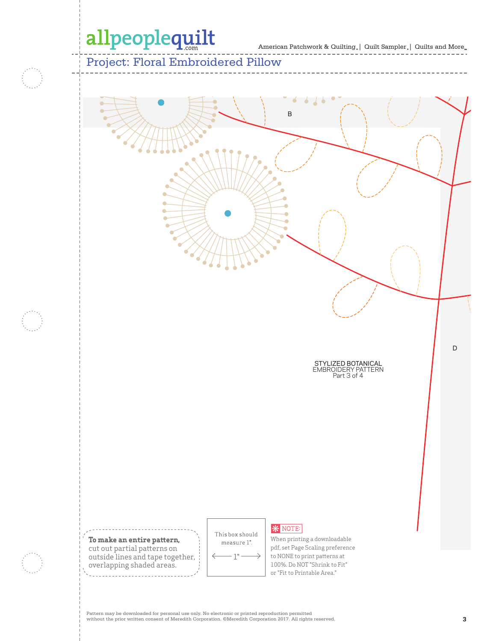American Patchwork & Quilting | Quilt Sampler | Quilts and More *Sampler.* | Quilts and :<br>---------------

Project: Floral Embroidered Pillow



Pattern may be downloaded for personal use only. No electronic or printed reproduction permitted without the prior written consent of Meredith Corporation. ©Meredith Corporation 2017. All rights reserved. **3**